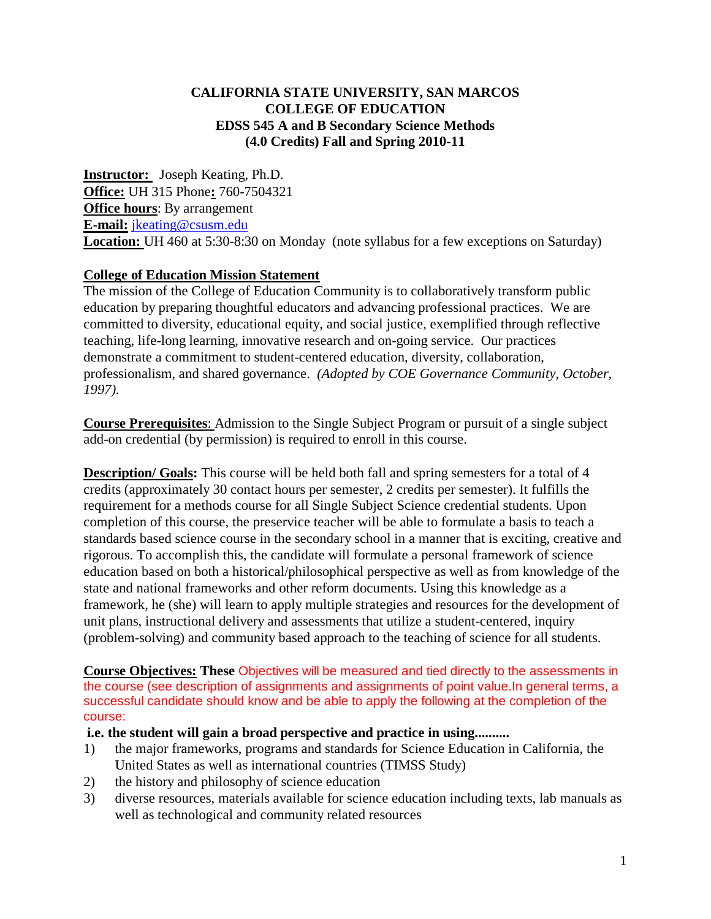# **CALIFORNIA STATE UNIVERSITY, SAN MARCOS COLLEGE OF EDUCATION EDSS 545 A and B Secondary Science Methods (4.0 Credits) Fall and Spring 2010-11**

**Instructor:** Joseph Keating, Ph.D. **Office:** UH 315 Phone**:** 760-7504321 **Office hours**: By arrangement **E-mail:** jkeating@csusm.edu **Location:** UH 460 at 5:30-8:30 on Monday (note syllabus for a few exceptions on Saturday)

# **College of Education Mission Statement**

The mission of the College of Education Community is to collaboratively transform public education by preparing thoughtful educators and advancing professional practices. We are committed to diversity, educational equity, and social justice, exemplified through reflective teaching, life-long learning, innovative research and on-going service. Our practices demonstrate a commitment to student-centered education, diversity, collaboration, professionalism, and shared governance. *(Adopted by COE Governance Community, October, 1997).*

**Course Prerequisites**: Admission to the Single Subject Program or pursuit of a single subject add-on credential (by permission) is required to enroll in this course.

**Description/ Goals:** This course will be held both fall and spring semesters for a total of 4 credits (approximately 30 contact hours per semester, 2 credits per semester). It fulfills the requirement for a methods course for all Single Subject Science credential students. Upon completion of this course, the preservice teacher will be able to formulate a basis to teach a standards based science course in the secondary school in a manner that is exciting, creative and rigorous. To accomplish this, the candidate will formulate a personal framework of science education based on both a historical/philosophical perspective as well as from knowledge of the state and national frameworks and other reform documents. Using this knowledge as a framework, he (she) will learn to apply multiple strategies and resources for the development of unit plans, instructional delivery and assessments that utilize a student-centered, inquiry (problem-solving) and community based approach to the teaching of science for all students.

**Course Objectives: These** Objectives will be measured and tied directly to the assessments in the course (see description of assignments and assignments of point value.In general terms, a successful candidate should know and be able to apply the following at the completion of the course:

# **i.e. the student will gain a broad perspective and practice in using..........**

- 1) the major frameworks, programs and standards for Science Education in California, the United States as well as international countries (TIMSS Study)
- 2) the history and philosophy of science education
- 3) diverse resources, materials available for science education including texts, lab manuals as well as technological and community related resources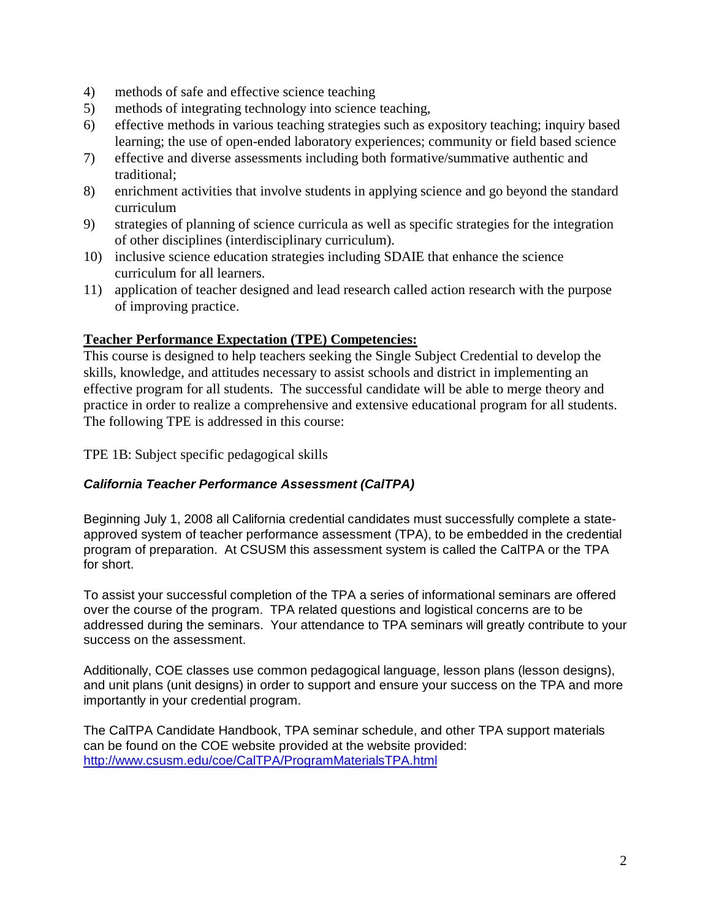- 4) methods of safe and effective science teaching
- 5) methods of integrating technology into science teaching,
- 6) effective methods in various teaching strategies such as expository teaching; inquiry based learning; the use of open-ended laboratory experiences; community or field based science
- 7) effective and diverse assessments including both formative/summative authentic and traditional;
- 8) enrichment activities that involve students in applying science and go beyond the standard curriculum
- 9) strategies of planning of science curricula as well as specific strategies for the integration of other disciplines (interdisciplinary curriculum).
- 10) inclusive science education strategies including SDAIE that enhance the science curriculum for all learners.
- 11) application of teacher designed and lead research called action research with the purpose of improving practice.

# **Teacher Performance Expectation (TPE) Competencies:**

This course is designed to help teachers seeking the Single Subject Credential to develop the skills, knowledge, and attitudes necessary to assist schools and district in implementing an effective program for all students. The successful candidate will be able to merge theory and practice in order to realize a comprehensive and extensive educational program for all students. The following TPE is addressed in this course:

TPE 1B: Subject specific pedagogical skills

# *California Teacher Performance Assessment (CalTPA)*

Beginning July 1, 2008 all California credential candidates must successfully complete a stateapproved system of teacher performance assessment (TPA), to be embedded in the credential program of preparation. At CSUSM this assessment system is called the CalTPA or the TPA for short.

To assist your successful completion of the TPA a series of informational seminars are offered over the course of the program. TPA related questions and logistical concerns are to be addressed during the seminars. Your attendance to TPA seminars will greatly contribute to your success on the assessment.

Additionally, COE classes use common pedagogical language, lesson plans (lesson designs), and unit plans (unit designs) in order to support and ensure your success on the TPA and more importantly in your credential program.

The CalTPA Candidate Handbook, TPA seminar schedule, and other TPA support materials can be found on the COE website provided at the website provided: <http://www.csusm.edu/coe/CalTPA/ProgramMaterialsTPA.html>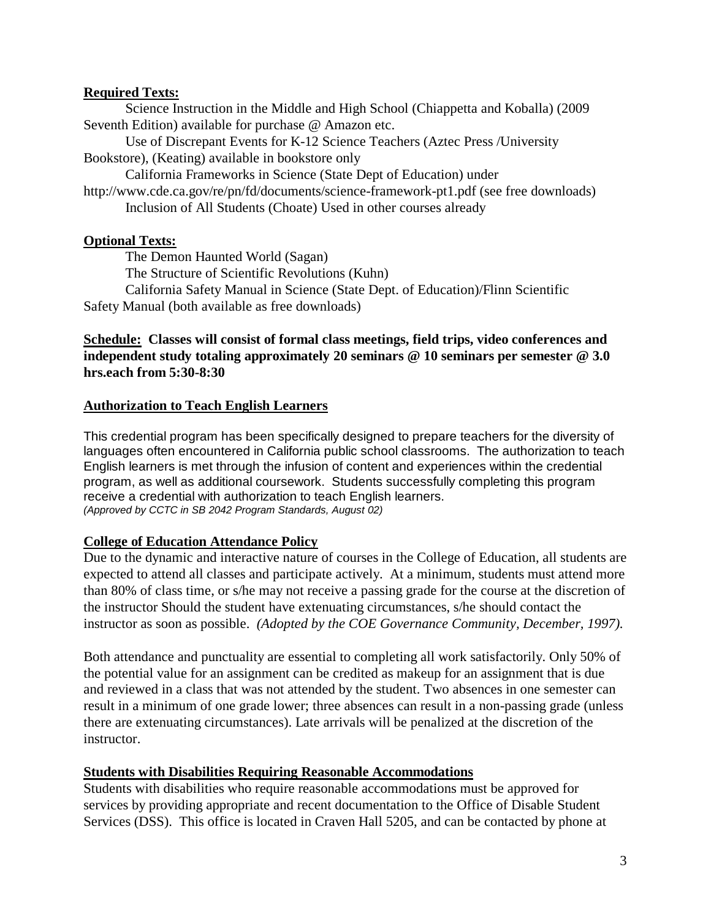#### **Required Texts:**

Science Instruction in the Middle and High School (Chiappetta and Koballa) (2009 Seventh Edition) available for purchase @ Amazon etc.

Use of Discrepant Events for K-12 Science Teachers (Aztec Press /University Bookstore), (Keating) available in bookstore only

California Frameworks in Science (State Dept of Education) under

http://www.cde.ca.gov/re/pn/fd/documents/science-framework-pt1.pdf (see free downloads) Inclusion of All Students (Choate) Used in other courses already

# **Optional Texts:**

The Demon Haunted World (Sagan)

The Structure of Scientific Revolutions (Kuhn)

California Safety Manual in Science (State Dept. of Education)/Flinn Scientific Safety Manual (both available as free downloads)

# **Schedule: Classes will consist of formal class meetings, field trips, video conferences and independent study totaling approximately 20 seminars @ 10 seminars per semester @ 3.0 hrs.each from 5:30-8:30**

# **Authorization to Teach English Learners**

This credential program has been specifically designed to prepare teachers for the diversity of languages often encountered in California public school classrooms. The authorization to teach English learners is met through the infusion of content and experiences within the credential program, as well as additional coursework. Students successfully completing this program receive a credential with authorization to teach English learners. *(Approved by CCTC in SB 2042 Program Standards, August 02)*

# **College of Education Attendance Policy**

Due to the dynamic and interactive nature of courses in the College of Education, all students are expected to attend all classes and participate actively. At a minimum, students must attend more than 80% of class time, or s/he may not receive a passing grade for the course at the discretion of the instructor Should the student have extenuating circumstances, s/he should contact the instructor as soon as possible. *(Adopted by the COE Governance Community, December, 1997).*

Both attendance and punctuality are essential to completing all work satisfactorily. Only 50% of the potential value for an assignment can be credited as makeup for an assignment that is due and reviewed in a class that was not attended by the student. Two absences in one semester can result in a minimum of one grade lower; three absences can result in a non-passing grade (unless there are extenuating circumstances). Late arrivals will be penalized at the discretion of the instructor.

# **Students with Disabilities Requiring Reasonable Accommodations**

Students with disabilities who require reasonable accommodations must be approved for services by providing appropriate and recent documentation to the Office of Disable Student Services (DSS). This office is located in Craven Hall 5205, and can be contacted by phone at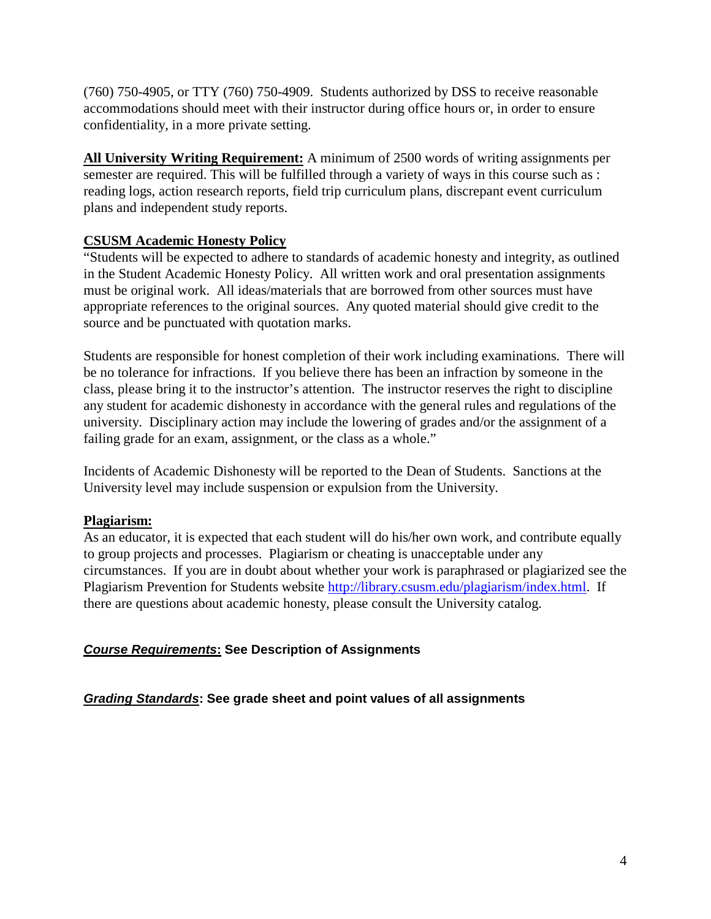(760) 750-4905, or TTY (760) 750-4909. Students authorized by DSS to receive reasonable accommodations should meet with their instructor during office hours or, in order to ensure confidentiality, in a more private setting.

**All University Writing Requirement:** A minimum of 2500 words of writing assignments per semester are required. This will be fulfilled through a variety of ways in this course such as : reading logs, action research reports, field trip curriculum plans, discrepant event curriculum plans and independent study reports.

# **CSUSM Academic Honesty Policy**

"Students will be expected to adhere to standards of academic honesty and integrity, as outlined in the Student Academic Honesty Policy. All written work and oral presentation assignments must be original work. All ideas/materials that are borrowed from other sources must have appropriate references to the original sources. Any quoted material should give credit to the source and be punctuated with quotation marks.

Students are responsible for honest completion of their work including examinations. There will be no tolerance for infractions. If you believe there has been an infraction by someone in the class, please bring it to the instructor's attention. The instructor reserves the right to discipline any student for academic dishonesty in accordance with the general rules and regulations of the university. Disciplinary action may include the lowering of grades and/or the assignment of a failing grade for an exam, assignment, or the class as a whole."

Incidents of Academic Dishonesty will be reported to the Dean of Students. Sanctions at the University level may include suspension or expulsion from the University.

# **Plagiarism:**

As an educator, it is expected that each student will do his/her own work, and contribute equally to group projects and processes. Plagiarism or cheating is unacceptable under any circumstances. If you are in doubt about whether your work is paraphrased or plagiarized see the Plagiarism Prevention for Students website [http://library.csusm.edu/plagiarism/index.html.](http://library.csusm.edu/plagiarism/index.html) If there are questions about academic honesty, please consult the University catalog.

# *Course Requirements***: See Description of Assignments**

# *Grading Standards***: See grade sheet and point values of all assignments**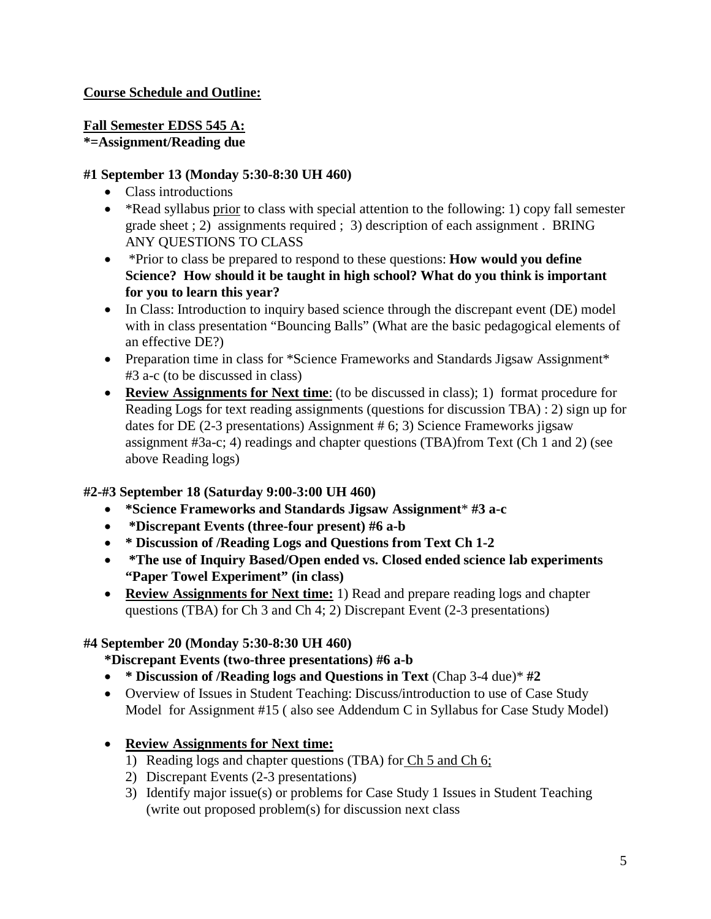# **Course Schedule and Outline:**

# **Fall Semester EDSS 545 A: \*=Assignment/Reading due**

#### **#1 September 13 (Monday 5:30-8:30 UH 460)**

- Class introductions
- \*Read syllabus prior to class with special attention to the following: 1) copy fall semester grade sheet ; 2) assignments required ; 3) description of each assignment . BRING ANY QUESTIONS TO CLASS
- \*Prior to class be prepared to respond to these questions: **How would you define Science? How should it be taught in high school? What do you think is important for you to learn this year?**
- In Class: Introduction to inquiry based science through the discrepant event (DE) model with in class presentation "Bouncing Balls" (What are the basic pedagogical elements of an effective DE?)
- Preparation time in class for \*Science Frameworks and Standards Jigsaw Assignment\* #3 a-c (to be discussed in class)
- **Review Assignments for Next time**: (to be discussed in class); 1) format procedure for Reading Logs for text reading assignments (questions for discussion TBA) : 2) sign up for dates for DE (2-3 presentations) Assignment # 6; 3) Science Frameworks jigsaw assignment #3a-c; 4) readings and chapter questions (TBA)from Text (Ch 1 and 2) (see above Reading logs)

# **#2-#3 September 18 (Saturday 9:00-3:00 UH 460)**

- **\*Science Frameworks and Standards Jigsaw Assignment**\* **#3 a-c**
- **\*Discrepant Events (three-four present) #6 a-b**
- **\* Discussion of /Reading Logs and Questions from Text Ch 1-2**
- **\*The use of Inquiry Based/Open ended vs. Closed ended science lab experiments "Paper Towel Experiment" (in class)**
- **Review Assignments for Next time:** 1) Read and prepare reading logs and chapter questions (TBA) for Ch 3 and Ch 4; 2) Discrepant Event (2-3 presentations)

# **#4 September 20 (Monday 5:30-8:30 UH 460)**

# **\*Discrepant Events (two-three presentations) #6 a-b**

- **\* Discussion of /Reading logs and Questions in Text** (Chap 3-4 due)\* **#2**
- Overview of Issues in Student Teaching: Discuss/introduction to use of Case Study Model for Assignment #15 ( also see Addendum C in Syllabus for Case Study Model)

# • **Review Assignments for Next time:**

- 1) Reading logs and chapter questions (TBA) for Ch 5 and Ch 6;
- 2) Discrepant Events (2-3 presentations)
- 3) Identify major issue(s) or problems for Case Study 1 Issues in Student Teaching (write out proposed problem(s) for discussion next class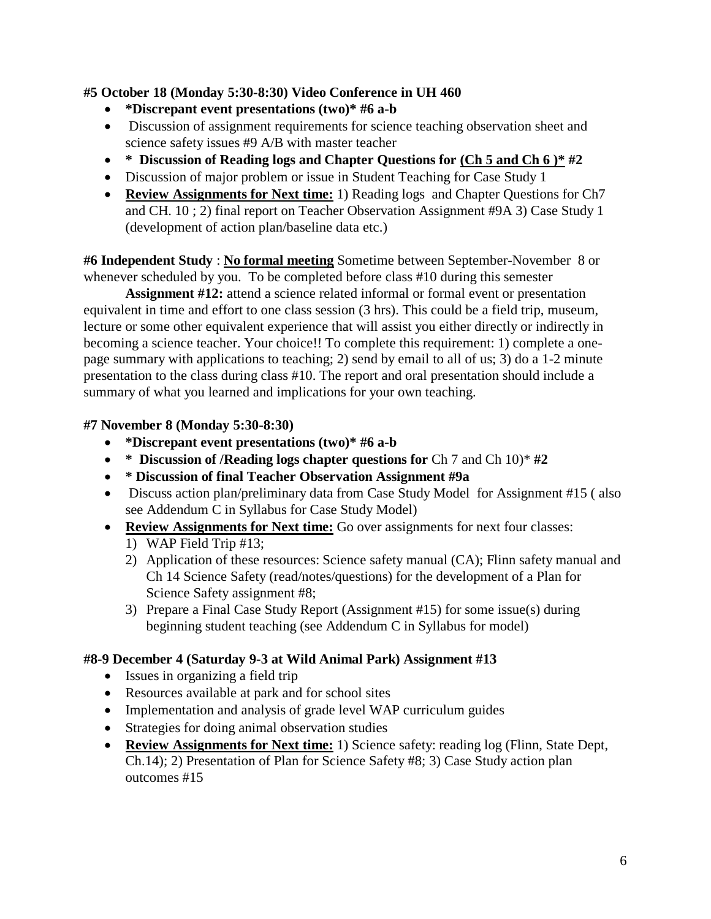# **#5 October 18 (Monday 5:30-8:30) Video Conference in UH 460**

- **\*Discrepant event presentations (two)\* #6 a-b**
- Discussion of assignment requirements for science teaching observation sheet and science safety issues #9 A/B with master teacher
- **\* Discussion of Reading logs and Chapter Questions for (Ch 5 and Ch 6 )\* #2**
- Discussion of major problem or issue in Student Teaching for Case Study 1
- **Review Assignments for Next time:** 1) Reading logs and Chapter Questions for Ch7 and CH. 10 ; 2) final report on Teacher Observation Assignment #9A 3) Case Study 1 (development of action plan/baseline data etc.)

**#6 Independent Study** : **No formal meeting** Sometime between September-November 8 or whenever scheduled by you. To be completed before class #10 during this semester

**Assignment #12:** attend a science related informal or formal event or presentation equivalent in time and effort to one class session (3 hrs). This could be a field trip, museum, lecture or some other equivalent experience that will assist you either directly or indirectly in becoming a science teacher. Your choice!! To complete this requirement: 1) complete a onepage summary with applications to teaching; 2) send by email to all of us; 3) do a 1-2 minute presentation to the class during class #10. The report and oral presentation should include a summary of what you learned and implications for your own teaching.

# **#7 November 8 (Monday 5:30-8:30)**

- **\*Discrepant event presentations (two)\* #6 a-b**
- \* Discussion of /Reading logs chapter questions for Ch 7 and Ch 10)\*  $\#2$
- **\* Discussion of final Teacher Observation Assignment #9a**
- Discuss action plan/preliminary data from Case Study Model for Assignment #15 (also see Addendum C in Syllabus for Case Study Model)
- **Review Assignments for Next time:** Go over assignments for next four classes:
	- 1) WAP Field Trip #13;
	- 2) Application of these resources: Science safety manual (CA); Flinn safety manual and Ch 14 Science Safety (read/notes/questions) for the development of a Plan for Science Safety assignment #8;
	- 3) Prepare a Final Case Study Report (Assignment #15) for some issue(s) during beginning student teaching (see Addendum C in Syllabus for model)

# **#8-9 December 4 (Saturday 9-3 at Wild Animal Park) Assignment #13**

- Issues in organizing a field trip
- Resources available at park and for school sites
- Implementation and analysis of grade level WAP curriculum guides
- Strategies for doing animal observation studies
- **Review Assignments for Next time:** 1) Science safety: reading log (Flinn, State Dept, Ch.14); 2) Presentation of Plan for Science Safety #8; 3) Case Study action plan outcomes #15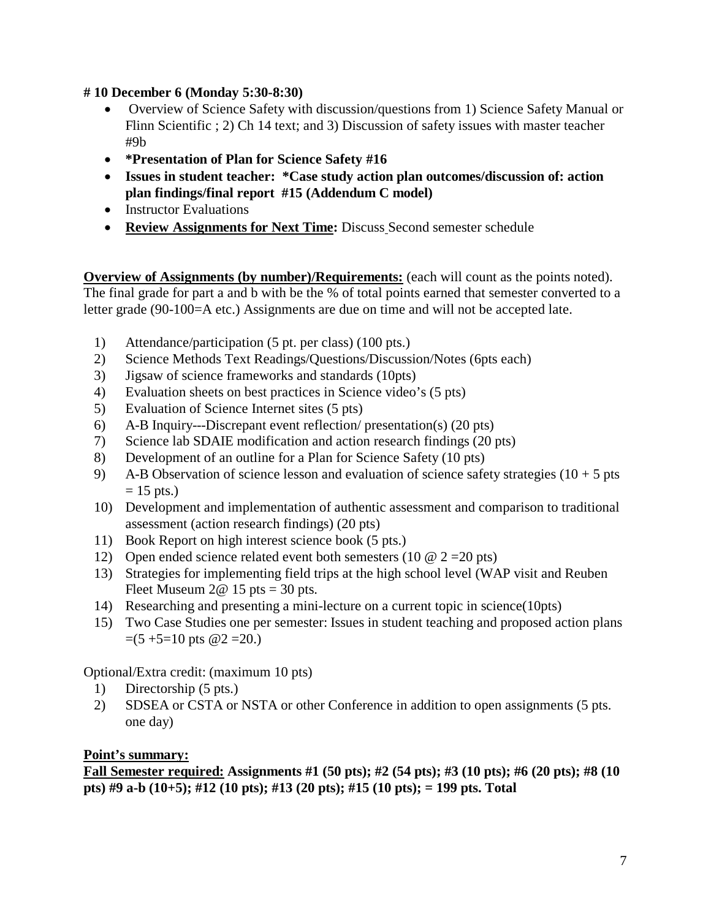# **# 10 December 6 (Monday 5:30-8:30)**

- Overview of Science Safety with discussion/questions from 1) Science Safety Manual or Flinn Scientific ; 2) Ch 14 text; and 3) Discussion of safety issues with master teacher #9b
- **\*Presentation of Plan for Science Safety #16**
- **Issues in student teacher: \*Case study action plan outcomes/discussion of: action plan findings/final report #15 (Addendum C model)**
- Instructor Evaluations
- **Review Assignments for Next Time:** Discuss Second semester schedule

**Overview of Assignments (by number)/Requirements:** (each will count as the points noted). The final grade for part a and b with be the % of total points earned that semester converted to a letter grade (90-100=A etc.) Assignments are due on time and will not be accepted late.

- 1) Attendance/participation (5 pt. per class) (100 pts.)
- 2) Science Methods Text Readings/Questions/Discussion/Notes (6pts each)
- 3) Jigsaw of science frameworks and standards (10pts)
- 4) Evaluation sheets on best practices in Science video's (5 pts)
- 5) Evaluation of Science Internet sites (5 pts)
- 6) A-B Inquiry---Discrepant event reflection/ presentation(s) (20 pts)
- 7) Science lab SDAIE modification and action research findings (20 pts)
- 8) Development of an outline for a Plan for Science Safety (10 pts)
- 9) A-B Observation of science lesson and evaluation of science safety strategies  $(10 + 5$  pts  $= 15$  pts.)
- 10) Development and implementation of authentic assessment and comparison to traditional assessment (action research findings) (20 pts)
- 11) Book Report on high interest science book (5 pts.)
- 12) Open ended science related event both semesters (10  $\omega$  2 = 20 pts)
- 13) Strategies for implementing field trips at the high school level (WAP visit and Reuben Fleet Museum  $2@ 15$  pts = 30 pts.
- 14) Researching and presenting a mini-lecture on a current topic in science(10pts)
- 15) Two Case Studies one per semester: Issues in student teaching and proposed action plans  $=(5 + 5 = 10$  pts  $@2 = 20$ .)

Optional/Extra credit: (maximum 10 pts)

- 1) Directorship (5 pts.)
- 2) SDSEA or CSTA or NSTA or other Conference in addition to open assignments (5 pts. one day)

# **Point's summary:**

**Fall Semester required: Assignments #1 (50 pts); #2 (54 pts); #3 (10 pts); #6 (20 pts); #8 (10 pts) #9 a-b (10+5); #12 (10 pts); #13 (20 pts); #15 (10 pts); = 199 pts. Total**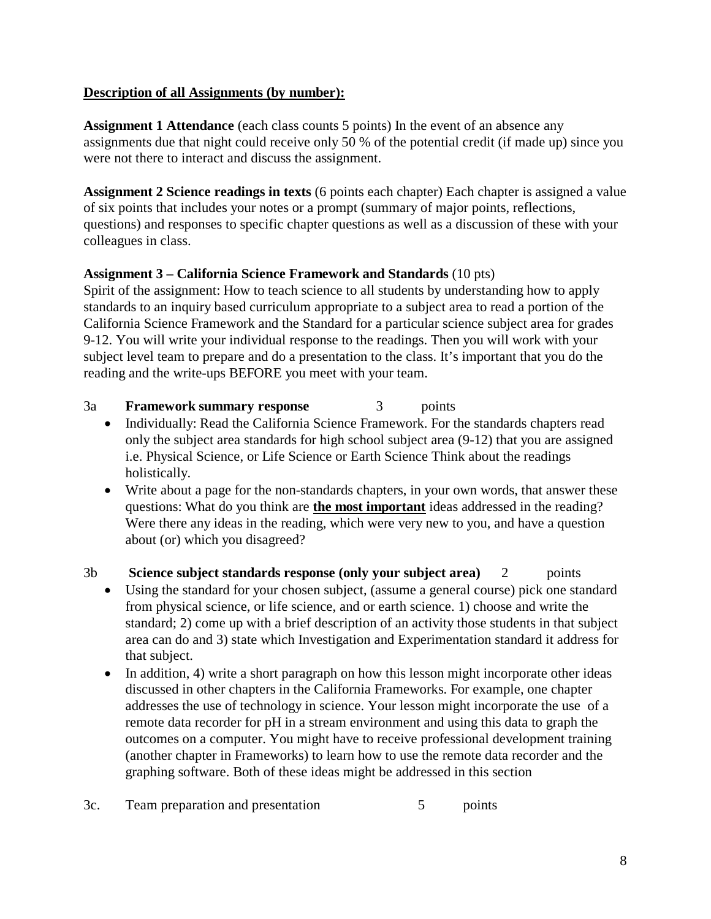# **Description of all Assignments (by number):**

**Assignment 1 Attendance** (each class counts 5 points) In the event of an absence any assignments due that night could receive only 50 % of the potential credit (if made up) since you were not there to interact and discuss the assignment.

**Assignment 2 Science readings in texts** (6 points each chapter) Each chapter is assigned a value of six points that includes your notes or a prompt (summary of major points, reflections, questions) and responses to specific chapter questions as well as a discussion of these with your colleagues in class.

# **Assignment 3 – California Science Framework and Standards** (10 pts)

Spirit of the assignment: How to teach science to all students by understanding how to apply standards to an inquiry based curriculum appropriate to a subject area to read a portion of the California Science Framework and the Standard for a particular science subject area for grades 9-12. You will write your individual response to the readings. Then you will work with your subject level team to prepare and do a presentation to the class. It's important that you do the reading and the write-ups BEFORE you meet with your team.

- 3a **Framework summary response** 3 points
	- Individually: Read the California Science Framework. For the standards chapters read only the subject area standards for high school subject area (9-12) that you are assigned i.e. Physical Science, or Life Science or Earth Science Think about the readings holistically.
	- Write about a page for the non-standards chapters, in your own words, that answer these questions: What do you think are **the most important** ideas addressed in the reading? Were there any ideas in the reading, which were very new to you, and have a question about (or) which you disagreed?
- 3b **Science subject standards response (only your subject area)** 2 points
	- Using the standard for your chosen subject, (assume a general course) pick one standard from physical science, or life science, and or earth science. 1) choose and write the standard; 2) come up with a brief description of an activity those students in that subject area can do and 3) state which Investigation and Experimentation standard it address for that subject.
	- In addition, 4) write a short paragraph on how this lesson might incorporate other ideas discussed in other chapters in the California Frameworks. For example, one chapter addresses the use of technology in science. Your lesson might incorporate the use of a remote data recorder for pH in a stream environment and using this data to graph the outcomes on a computer. You might have to receive professional development training (another chapter in Frameworks) to learn how to use the remote data recorder and the graphing software. Both of these ideas might be addressed in this section
- 3c. Team preparation and presentation 5 points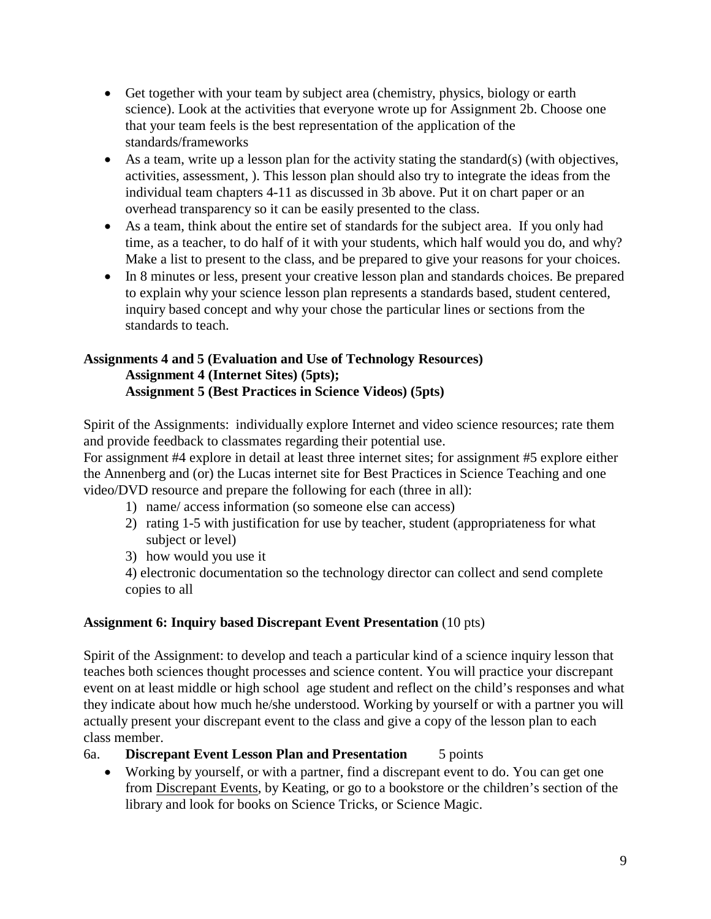- Get together with your team by subject area (chemistry, physics, biology or earth science). Look at the activities that everyone wrote up for Assignment 2b. Choose one that your team feels is the best representation of the application of the standards/frameworks
- As a team, write up a lesson plan for the activity stating the standard(s) (with objectives, activities, assessment, ). This lesson plan should also try to integrate the ideas from the individual team chapters 4-11 as discussed in 3b above. Put it on chart paper or an overhead transparency so it can be easily presented to the class.
- As a team, think about the entire set of standards for the subject area. If you only had time, as a teacher, to do half of it with your students, which half would you do, and why? Make a list to present to the class, and be prepared to give your reasons for your choices.
- In 8 minutes or less, present your creative lesson plan and standards choices. Be prepared to explain why your science lesson plan represents a standards based, student centered, inquiry based concept and why your chose the particular lines or sections from the standards to teach.

#### **Assignments 4 and 5 (Evaluation and Use of Technology Resources) Assignment 4 (Internet Sites) (5pts); Assignment 5 (Best Practices in Science Videos) (5pts)**

Spirit of the Assignments: individually explore Internet and video science resources; rate them and provide feedback to classmates regarding their potential use.

For assignment #4 explore in detail at least three internet sites; for assignment #5 explore either the Annenberg and (or) the Lucas internet site for Best Practices in Science Teaching and one video/DVD resource and prepare the following for each (three in all):

- 1) name/ access information (so someone else can access)
- 2) rating 1-5 with justification for use by teacher, student (appropriateness for what subject or level)
- 3) how would you use it

4) electronic documentation so the technology director can collect and send complete copies to all

# **Assignment 6: Inquiry based Discrepant Event Presentation** (10 pts)

Spirit of the Assignment: to develop and teach a particular kind of a science inquiry lesson that teaches both sciences thought processes and science content. You will practice your discrepant event on at least middle or high school age student and reflect on the child's responses and what they indicate about how much he/she understood. Working by yourself or with a partner you will actually present your discrepant event to the class and give a copy of the lesson plan to each class member.

6a. **Discrepant Event Lesson Plan and Presentation** 5 points

• Working by yourself, or with a partner, find a discrepant event to do. You can get one from Discrepant Events, by Keating, or go to a bookstore or the children's section of the library and look for books on Science Tricks, or Science Magic.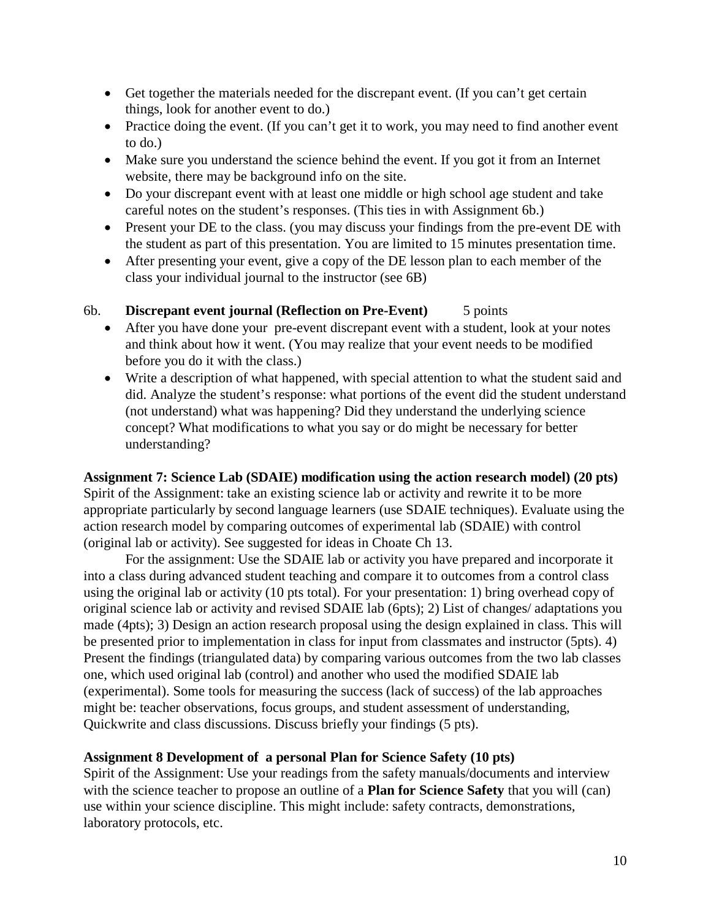- Get together the materials needed for the discrepant event. (If you can't get certain things, look for another event to do.)
- Practice doing the event. (If you can't get it to work, you may need to find another event to do.)
- Make sure you understand the science behind the event. If you got it from an Internet website, there may be background info on the site.
- Do your discrepant event with at least one middle or high school age student and take careful notes on the student's responses. (This ties in with Assignment 6b.)
- Present your DE to the class. (you may discuss your findings from the pre-event DE with the student as part of this presentation. You are limited to 15 minutes presentation time.
- After presenting your event, give a copy of the DE lesson plan to each member of the class your individual journal to the instructor (see 6B)

# 6b. **Discrepant event journal (Reflection on Pre-Event)** 5 points

- After you have done your pre-event discrepant event with a student, look at your notes and think about how it went. (You may realize that your event needs to be modified before you do it with the class.)
- Write a description of what happened, with special attention to what the student said and did. Analyze the student's response: what portions of the event did the student understand (not understand) what was happening? Did they understand the underlying science concept? What modifications to what you say or do might be necessary for better understanding?

**Assignment 7: Science Lab (SDAIE) modification using the action research model) (20 pts)** Spirit of the Assignment: take an existing science lab or activity and rewrite it to be more appropriate particularly by second language learners (use SDAIE techniques). Evaluate using the action research model by comparing outcomes of experimental lab (SDAIE) with control (original lab or activity). See suggested for ideas in Choate Ch 13.

For the assignment: Use the SDAIE lab or activity you have prepared and incorporate it into a class during advanced student teaching and compare it to outcomes from a control class using the original lab or activity (10 pts total). For your presentation: 1) bring overhead copy of original science lab or activity and revised SDAIE lab (6pts); 2) List of changes/ adaptations you made (4pts); 3) Design an action research proposal using the design explained in class. This will be presented prior to implementation in class for input from classmates and instructor (5pts). 4) Present the findings (triangulated data) by comparing various outcomes from the two lab classes one, which used original lab (control) and another who used the modified SDAIE lab (experimental). Some tools for measuring the success (lack of success) of the lab approaches might be: teacher observations, focus groups, and student assessment of understanding, Quickwrite and class discussions. Discuss briefly your findings (5 pts).

# **Assignment 8 Development of a personal Plan for Science Safety (10 pts)**

Spirit of the Assignment: Use your readings from the safety manuals/documents and interview with the science teacher to propose an outline of a **Plan for Science Safety** that you will (can) use within your science discipline. This might include: safety contracts, demonstrations, laboratory protocols, etc.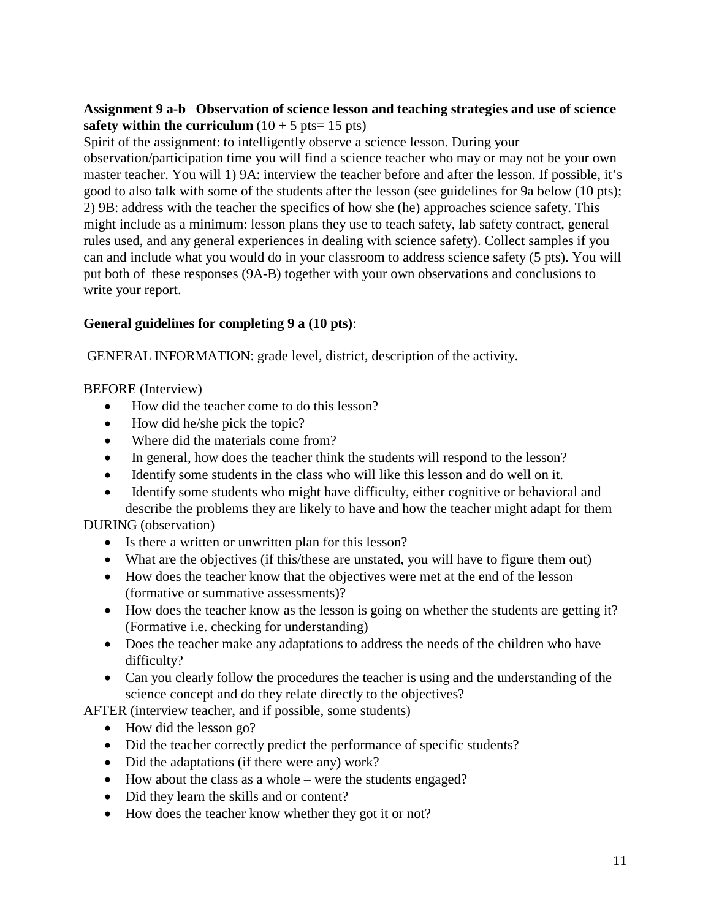# **Assignment 9 a-b Observation of science lesson and teaching strategies and use of science safety within the curriculum**  $(10 + 5 \text{ pts} = 15 \text{ pts})$

Spirit of the assignment: to intelligently observe a science lesson. During your observation/participation time you will find a science teacher who may or may not be your own master teacher. You will 1) 9A: interview the teacher before and after the lesson. If possible, it's good to also talk with some of the students after the lesson (see guidelines for 9a below (10 pts); 2) 9B: address with the teacher the specifics of how she (he) approaches science safety. This might include as a minimum: lesson plans they use to teach safety, lab safety contract, general rules used, and any general experiences in dealing with science safety). Collect samples if you can and include what you would do in your classroom to address science safety (5 pts). You will put both of these responses (9A-B) together with your own observations and conclusions to write your report.

# **General guidelines for completing 9 a (10 pts)**:

GENERAL INFORMATION: grade level, district, description of the activity.

# BEFORE (Interview)

- How did the teacher come to do this lesson?
- How did he/she pick the topic?
- Where did the materials come from?
- In general, how does the teacher think the students will respond to the lesson?
- Identify some students in the class who will like this lesson and do well on it.
- Identify some students who might have difficulty, either cognitive or behavioral and describe the problems they are likely to have and how the teacher might adapt for them

# DURING (observation)

- Is there a written or unwritten plan for this lesson?
- What are the objectives (if this/these are unstated, you will have to figure them out)
- How does the teacher know that the objectives were met at the end of the lesson (formative or summative assessments)?
- How does the teacher know as the lesson is going on whether the students are getting it? (Formative i.e. checking for understanding)
- Does the teacher make any adaptations to address the needs of the children who have difficulty?
- Can you clearly follow the procedures the teacher is using and the understanding of the science concept and do they relate directly to the objectives?

AFTER (interview teacher, and if possible, some students)

- How did the lesson go?
- Did the teacher correctly predict the performance of specific students?
- Did the adaptations (if there were any) work?
- How about the class as a whole were the students engaged?
- Did they learn the skills and or content?
- How does the teacher know whether they got it or not?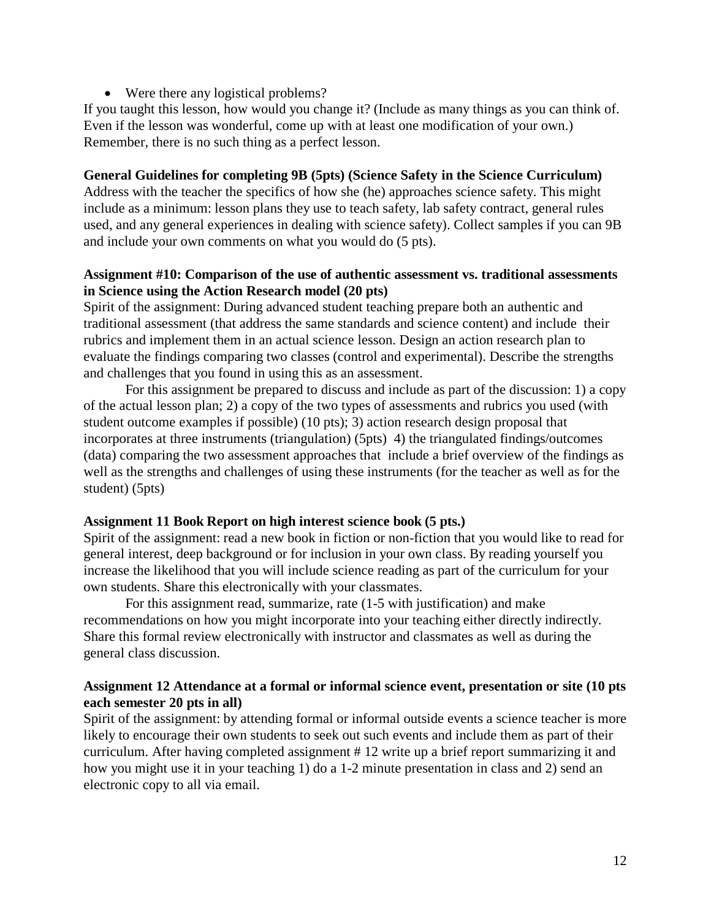• Were there any logistical problems?

If you taught this lesson, how would you change it? (Include as many things as you can think of. Even if the lesson was wonderful, come up with at least one modification of your own.) Remember, there is no such thing as a perfect lesson.

#### **General Guidelines for completing 9B (5pts) (Science Safety in the Science Curriculum)**

Address with the teacher the specifics of how she (he) approaches science safety. This might include as a minimum: lesson plans they use to teach safety, lab safety contract, general rules used, and any general experiences in dealing with science safety). Collect samples if you can 9B and include your own comments on what you would do (5 pts).

#### **Assignment #10: Comparison of the use of authentic assessment vs. traditional assessments in Science using the Action Research model (20 pts)**

Spirit of the assignment: During advanced student teaching prepare both an authentic and traditional assessment (that address the same standards and science content) and include their rubrics and implement them in an actual science lesson. Design an action research plan to evaluate the findings comparing two classes (control and experimental). Describe the strengths and challenges that you found in using this as an assessment.

For this assignment be prepared to discuss and include as part of the discussion: 1) a copy of the actual lesson plan; 2) a copy of the two types of assessments and rubrics you used (with student outcome examples if possible) (10 pts); 3) action research design proposal that incorporates at three instruments (triangulation) (5pts) 4) the triangulated findings/outcomes (data) comparing the two assessment approaches that include a brief overview of the findings as well as the strengths and challenges of using these instruments (for the teacher as well as for the student) (5pts)

#### **Assignment 11 Book Report on high interest science book (5 pts.)**

Spirit of the assignment: read a new book in fiction or non-fiction that you would like to read for general interest, deep background or for inclusion in your own class. By reading yourself you increase the likelihood that you will include science reading as part of the curriculum for your own students. Share this electronically with your classmates.

For this assignment read, summarize, rate (1-5 with justification) and make recommendations on how you might incorporate into your teaching either directly indirectly. Share this formal review electronically with instructor and classmates as well as during the general class discussion.

# **Assignment 12 Attendance at a formal or informal science event, presentation or site (10 pts each semester 20 pts in all)**

Spirit of the assignment: by attending formal or informal outside events a science teacher is more likely to encourage their own students to seek out such events and include them as part of their curriculum. After having completed assignment # 12 write up a brief report summarizing it and how you might use it in your teaching 1) do a 1-2 minute presentation in class and 2) send an electronic copy to all via email.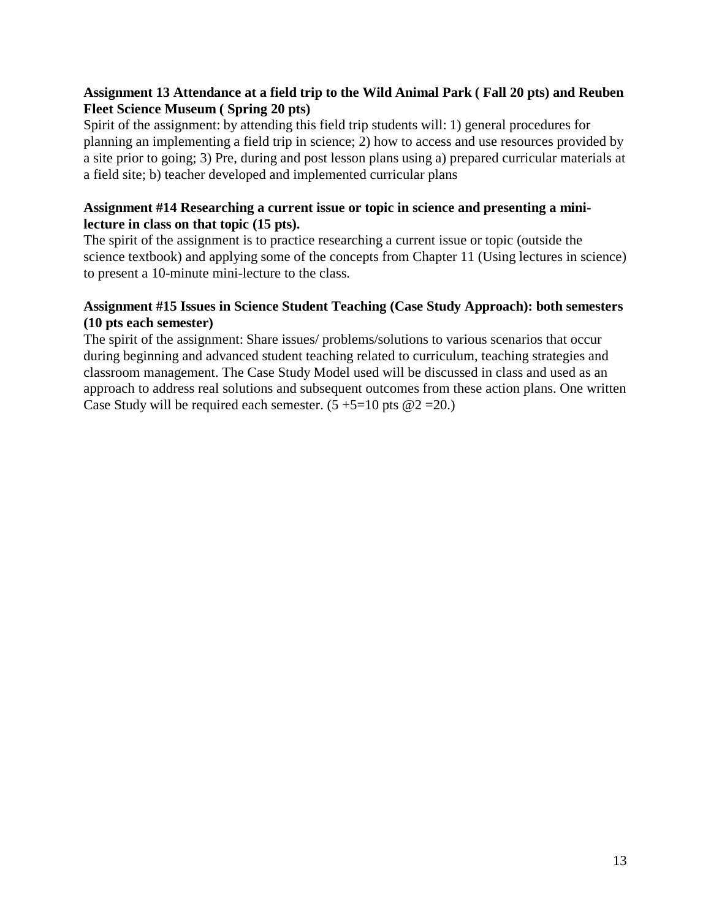# **Assignment 13 Attendance at a field trip to the Wild Animal Park ( Fall 20 pts) and Reuben Fleet Science Museum ( Spring 20 pts)**

Spirit of the assignment: by attending this field trip students will: 1) general procedures for planning an implementing a field trip in science; 2) how to access and use resources provided by a site prior to going; 3) Pre, during and post lesson plans using a) prepared curricular materials at a field site; b) teacher developed and implemented curricular plans

# **Assignment #14 Researching a current issue or topic in science and presenting a minilecture in class on that topic (15 pts).**

The spirit of the assignment is to practice researching a current issue or topic (outside the science textbook) and applying some of the concepts from Chapter 11 (Using lectures in science) to present a 10-minute mini-lecture to the class.

# **Assignment #15 Issues in Science Student Teaching (Case Study Approach): both semesters (10 pts each semester)**

The spirit of the assignment: Share issues/ problems/solutions to various scenarios that occur during beginning and advanced student teaching related to curriculum, teaching strategies and classroom management. The Case Study Model used will be discussed in class and used as an approach to address real solutions and subsequent outcomes from these action plans. One written Case Study will be required each semester.  $(5 + 5 = 10$  pts  $@2 = 20$ .)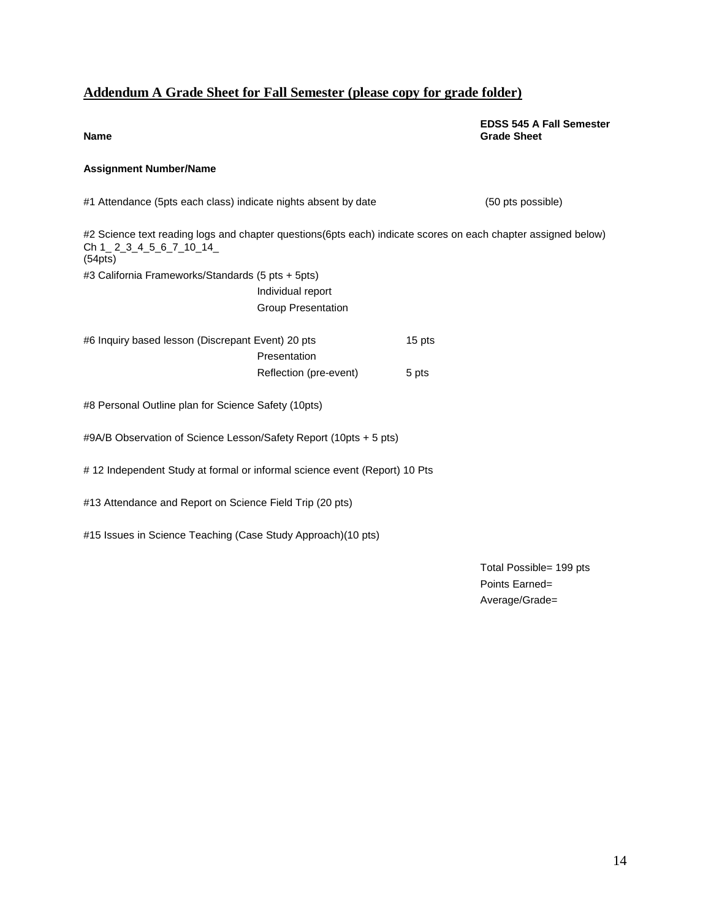# **Addendum A Grade Sheet for Fall Semester (please copy for grade folder)**

**EDSS 545 A Fall Semester Grade Sheet**

#### **Name**

#### **Assignment Number/Name**

| (50 pts possible)                                                                                             |
|---------------------------------------------------------------------------------------------------------------|
| #2 Science text reading logs and chapter questions(6pts each) indicate scores on each chapter assigned below) |
|                                                                                                               |
|                                                                                                               |
|                                                                                                               |
| 15 pts                                                                                                        |
| 5 pts                                                                                                         |
|                                                                                                               |
| #9A/B Observation of Science Lesson/Safety Report (10pts + 5 pts)                                             |
| #12 Independent Study at formal or informal science event (Report) 10 Pts                                     |
|                                                                                                               |
|                                                                                                               |
|                                                                                                               |

Total Possible= 199 pts Points Earned= Average/Grade=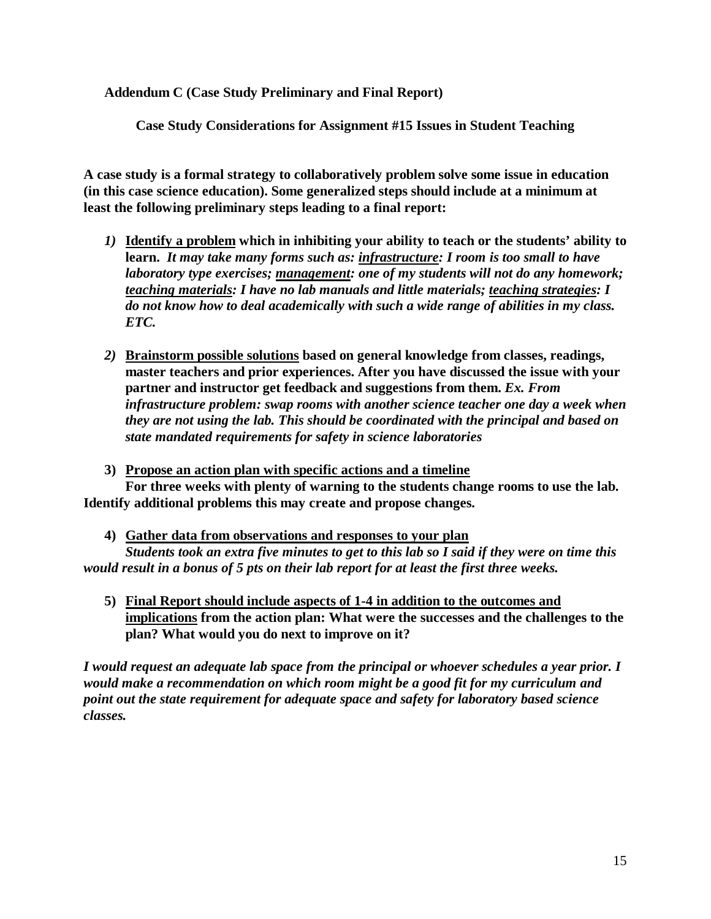**Addendum C (Case Study Preliminary and Final Report)**

**Case Study Considerations for Assignment #15 Issues in Student Teaching**

**A case study is a formal strategy to collaboratively problem solve some issue in education (in this case science education). Some generalized steps should include at a minimum at least the following preliminary steps leading to a final report:** 

- *1)* **Identify a problem which in inhibiting your ability to teach or the students' ability to learn.** *It may take many forms such as: infrastructure: I room is too small to have laboratory type exercises; management: one of my students will not do any homework; teaching materials: I have no lab manuals and little materials; teaching strategies: I do not know how to deal academically with such a wide range of abilities in my class. ETC.*
- *2)* **Brainstorm possible solutions based on general knowledge from classes, readings, master teachers and prior experiences. After you have discussed the issue with your partner and instructor get feedback and suggestions from them.** *Ex. From infrastructure problem: swap rooms with another science teacher one day a week when they are not using the lab. This should be coordinated with the principal and based on state mandated requirements for safety in science laboratories*

**3) Propose an action plan with specific actions and a timeline**

**For three weeks with plenty of warning to the students change rooms to use the lab. Identify additional problems this may create and propose changes.**

**4) Gather data from observations and responses to your plan** 

*Students took an extra five minutes to get to this lab so I said if they were on time this would result in a bonus of 5 pts on their lab report for at least the first three weeks.*

**5) Final Report should include aspects of 1-4 in addition to the outcomes and implications from the action plan: What were the successes and the challenges to the plan? What would you do next to improve on it?** 

*I would request an adequate lab space from the principal or whoever schedules a year prior. I would make a recommendation on which room might be a good fit for my curriculum and point out the state requirement for adequate space and safety for laboratory based science classes.*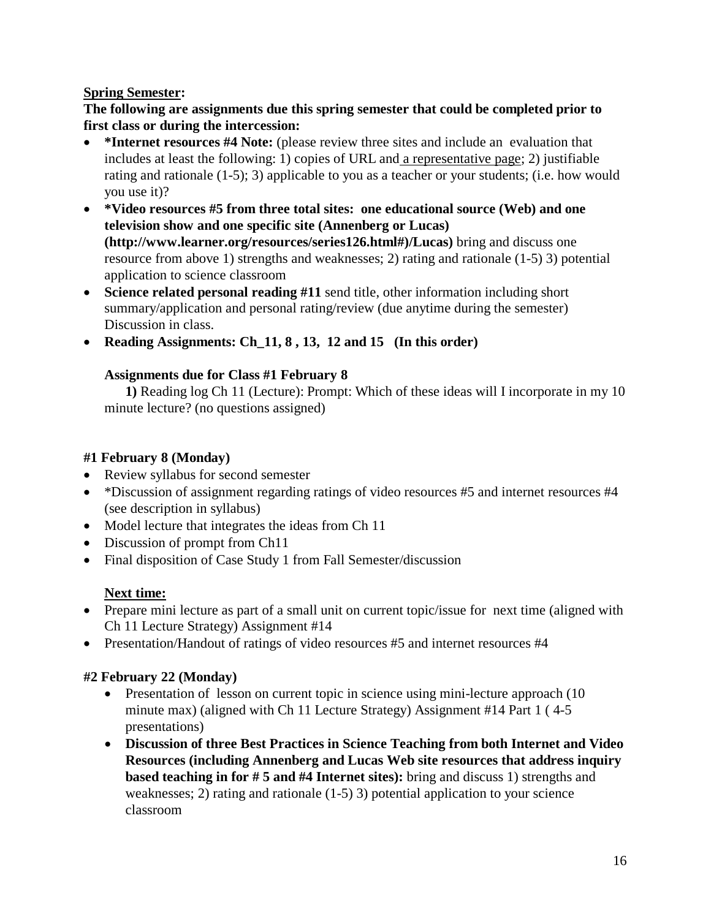# **Spring Semester:**

# **The following are assignments due this spring semester that could be completed prior to first class or during the intercession:**

- **\*Internet resources #4 Note:** (please review three sites and include an evaluation that includes at least the following: 1) copies of URL and a representative page; 2) justifiable rating and rationale (1-5); 3) applicable to you as a teacher or your students; (i.e. how would you use it)?
- **\*Video resources #5 from three total sites: one educational source (Web) and one television show and one specific site (Annenberg or Lucas) (http://www.learner.org/resources/series126.html#)/Lucas)** bring and discuss one resource from above 1) strengths and weaknesses; 2) rating and rationale (1-5) 3) potential application to science classroom
- **Science related personal reading #11** send title, other information including short summary/application and personal rating/review (due anytime during the semester) Discussion in class.
- **Reading Assignments: Ch\_11, 8 , 13, 12 and 15 (In this order)**

# **Assignments due for Class #1 February 8**

**1)** Reading log Ch 11 (Lecture): Prompt: Which of these ideas will I incorporate in my 10 minute lecture? (no questions assigned)

# **#1 February 8 (Monday)**

- Review syllabus for second semester
- \*Discussion of assignment regarding ratings of video resources #5 and internet resources #4 (see description in syllabus)
- Model lecture that integrates the ideas from Ch 11
- Discussion of prompt from Ch11
- Final disposition of Case Study 1 from Fall Semester/discussion

# **Next time:**

- Prepare mini lecture as part of a small unit on current topic/issue for next time (aligned with Ch 11 Lecture Strategy) Assignment #14
- Presentation/Handout of ratings of video resources #5 and internet resources #4

# **#2 February 22 (Monday)**

- Presentation of lesson on current topic in science using mini-lecture approach (10) minute max) (aligned with Ch 11 Lecture Strategy) Assignment #14 Part 1 ( 4-5 presentations)
- **Discussion of three Best Practices in Science Teaching from both Internet and Video Resources (including Annenberg and Lucas Web site resources that address inquiry based teaching in for # 5 and #4 Internet sites):** bring and discuss 1) strengths and weaknesses; 2) rating and rationale  $(1-5)$  3) potential application to your science classroom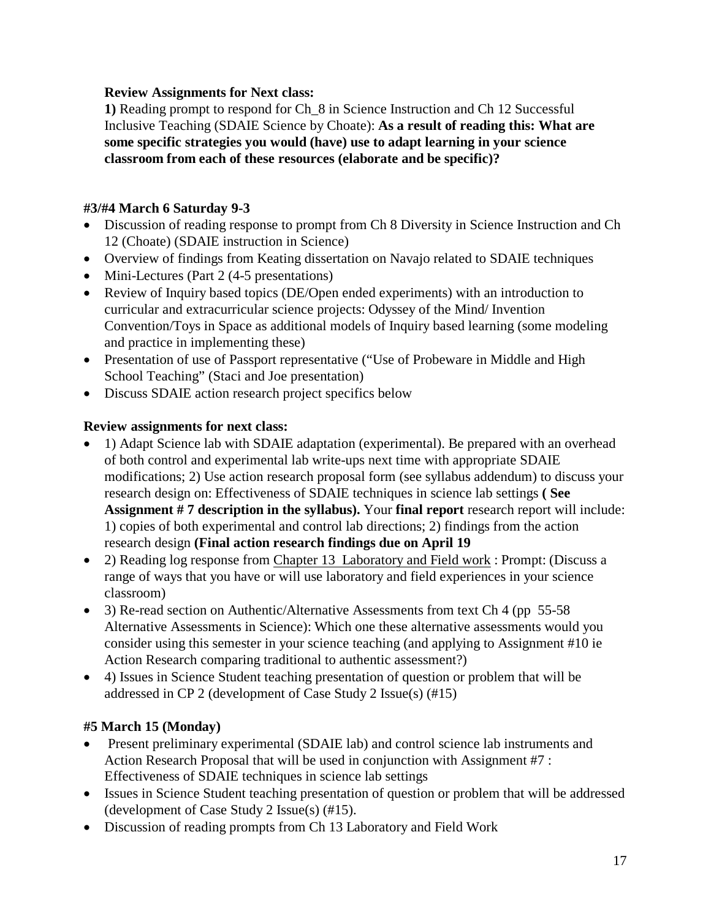# **Review Assignments for Next class:**

**1)** Reading prompt to respond for Ch\_8 in Science Instruction and Ch 12 Successful Inclusive Teaching (SDAIE Science by Choate): **As a result of reading this: What are some specific strategies you would (have) use to adapt learning in your science classroom from each of these resources (elaborate and be specific)?**

# **#3/#4 March 6 Saturday 9-3**

- Discussion of reading response to prompt from Ch 8 Diversity in Science Instruction and Ch 12 (Choate) (SDAIE instruction in Science)
- Overview of findings from Keating dissertation on Navajo related to SDAIE techniques
- Mini-Lectures (Part 2 (4-5 presentations)
- Review of Inquiry based topics (DE/Open ended experiments) with an introduction to curricular and extracurricular science projects: Odyssey of the Mind/ Invention Convention/Toys in Space as additional models of Inquiry based learning (some modeling and practice in implementing these)
- Presentation of use of Passport representative ("Use of Probeware in Middle and High School Teaching" (Staci and Joe presentation)
- Discuss SDAIE action research project specifics below

# **Review assignments for next class:**

- 1) Adapt Science lab with SDAIE adaptation (experimental). Be prepared with an overhead of both control and experimental lab write-ups next time with appropriate SDAIE modifications; 2) Use action research proposal form (see syllabus addendum) to discuss your research design on: Effectiveness of SDAIE techniques in science lab settings **( See Assignment # 7 description in the syllabus).** Your **final report** research report will include: 1) copies of both experimental and control lab directions; 2) findings from the action research design **(Final action research findings due on April 19**
- 2) Reading log response from Chapter 13 Laboratory and Field work : Prompt: (Discuss a range of ways that you have or will use laboratory and field experiences in your science classroom)
- 3) Re-read section on Authentic/Alternative Assessments from text Ch 4 (pp 55-58) Alternative Assessments in Science): Which one these alternative assessments would you consider using this semester in your science teaching (and applying to Assignment #10 ie Action Research comparing traditional to authentic assessment?)
- 4) Issues in Science Student teaching presentation of question or problem that will be addressed in CP 2 (development of Case Study 2 Issue(s) (#15)

# **#5 March 15 (Monday)**

- Present preliminary experimental (SDAIE lab) and control science lab instruments and Action Research Proposal that will be used in conjunction with Assignment #7 : Effectiveness of SDAIE techniques in science lab settings
- Issues in Science Student teaching presentation of question or problem that will be addressed (development of Case Study 2 Issue(s) (#15).
- Discussion of reading prompts from Ch 13 Laboratory and Field Work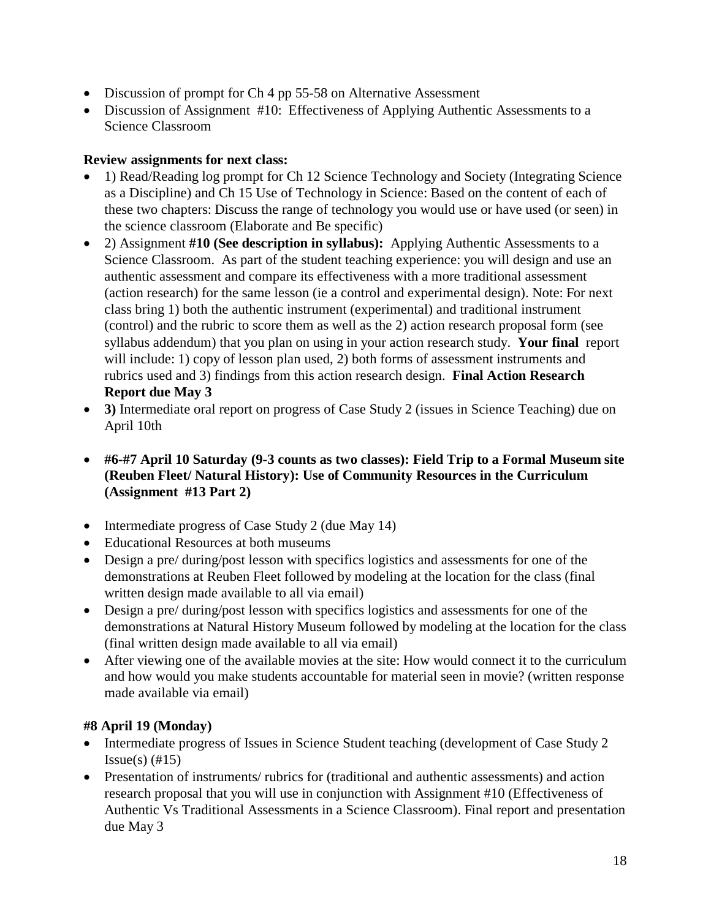- Discussion of prompt for Ch 4 pp 55-58 on Alternative Assessment
- Discussion of Assignment #10: Effectiveness of Applying Authentic Assessments to a Science Classroom

# **Review assignments for next class:**

- 1) Read/Reading log prompt for Ch 12 Science Technology and Society (Integrating Science as a Discipline) and Ch 15 Use of Technology in Science: Based on the content of each of these two chapters: Discuss the range of technology you would use or have used (or seen) in the science classroom (Elaborate and Be specific)
- 2) Assignment **#10 (See description in syllabus):** Applying Authentic Assessments to a Science Classroom. As part of the student teaching experience: you will design and use an authentic assessment and compare its effectiveness with a more traditional assessment (action research) for the same lesson (ie a control and experimental design). Note: For next class bring 1) both the authentic instrument (experimental) and traditional instrument (control) and the rubric to score them as well as the 2) action research proposal form (see syllabus addendum) that you plan on using in your action research study. **Your final** report will include: 1) copy of lesson plan used, 2) both forms of assessment instruments and rubrics used and 3) findings from this action research design. **Final Action Research Report due May 3**
- **3)** Intermediate oral report on progress of Case Study 2 (issues in Science Teaching) due on April 10th
- **#6-#7 April 10 Saturday (9-3 counts as two classes): Field Trip to a Formal Museum site (Reuben Fleet/ Natural History): Use of Community Resources in the Curriculum (Assignment #13 Part 2)**
- Intermediate progress of Case Study 2 (due May 14)
- Educational Resources at both museums
- Design a pre/ during/post lesson with specifics logistics and assessments for one of the demonstrations at Reuben Fleet followed by modeling at the location for the class (final written design made available to all via email)
- Design a pre/ during/post lesson with specifics logistics and assessments for one of the demonstrations at Natural History Museum followed by modeling at the location for the class (final written design made available to all via email)
- After viewing one of the available movies at the site: How would connect it to the curriculum and how would you make students accountable for material seen in movie? (written response made available via email)

# **#8 April 19 (Monday)**

- Intermediate progress of Issues in Science Student teaching (development of Case Study 2)  $Issue(s)$  (#15)
- Presentation of instruments/ rubrics for (traditional and authentic assessments) and action research proposal that you will use in conjunction with Assignment #10 (Effectiveness of Authentic Vs Traditional Assessments in a Science Classroom). Final report and presentation due May 3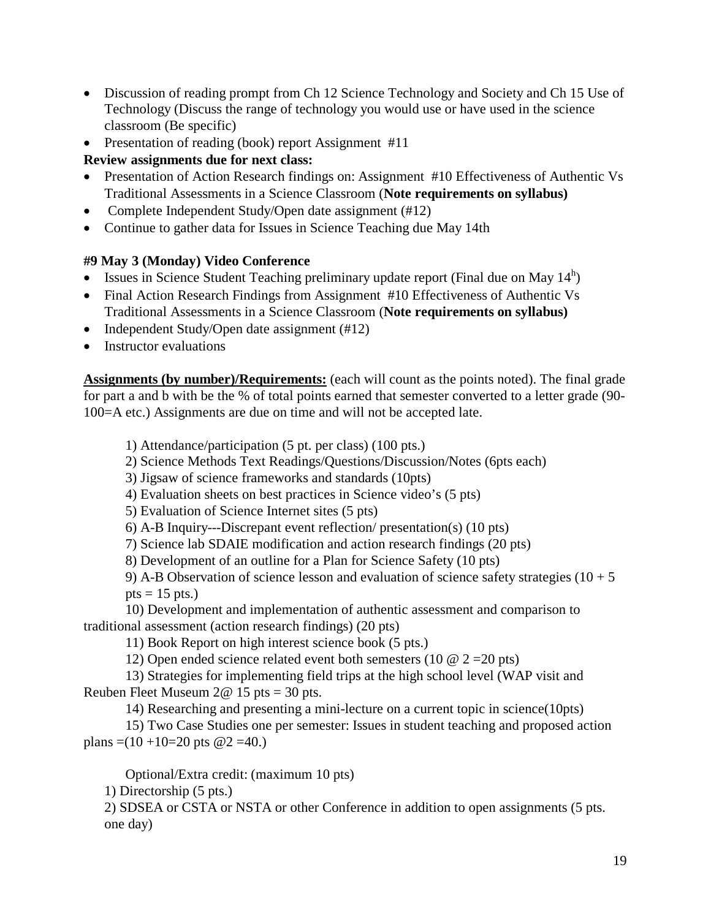- Discussion of reading prompt from Ch 12 Science Technology and Society and Ch 15 Use of Technology (Discuss the range of technology you would use or have used in the science classroom (Be specific)
- Presentation of reading (book) report Assignment #11

# **Review assignments due for next class:**

- Presentation of Action Research findings on: Assignment #10 Effectiveness of Authentic Vs Traditional Assessments in a Science Classroom (**Note requirements on syllabus)**
- Complete Independent Study/Open date assignment (#12)
- Continue to gather data for Issues in Science Teaching due May 14th

# **#9 May 3 (Monday) Video Conference**

- Issues in Science Student Teaching preliminary update report (Final due on May  $14<sup>h</sup>$ )
- Final Action Research Findings from Assignment #10 Effectiveness of Authentic Vs Traditional Assessments in a Science Classroom (**Note requirements on syllabus)**
- Independent Study/Open date assignment (#12)
- Instructor evaluations

**Assignments (by number)/Requirements:** (each will count as the points noted). The final grade for part a and b with be the % of total points earned that semester converted to a letter grade (90- 100=A etc.) Assignments are due on time and will not be accepted late.

1) Attendance/participation (5 pt. per class) (100 pts.)

2) Science Methods Text Readings/Questions/Discussion/Notes (6pts each)

3) Jigsaw of science frameworks and standards (10pts)

4) Evaluation sheets on best practices in Science video's (5 pts)

5) Evaluation of Science Internet sites (5 pts)

6) A-B Inquiry---Discrepant event reflection/ presentation(s) (10 pts)

7) Science lab SDAIE modification and action research findings (20 pts)

8) Development of an outline for a Plan for Science Safety (10 pts)

9) A-B Observation of science lesson and evaluation of science safety strategies  $(10 + 5$  $pts = 15 \text{ pts.}$ )

10) Development and implementation of authentic assessment and comparison to traditional assessment (action research findings) (20 pts)

11) Book Report on high interest science book (5 pts.)

12) Open ended science related event both semesters (10  $\omega$  2 = 20 pts)

13) Strategies for implementing field trips at the high school level (WAP visit and Reuben Fleet Museum  $2@ 15$  pts = 30 pts.

14) Researching and presenting a mini-lecture on a current topic in science(10pts)

15) Two Case Studies one per semester: Issues in student teaching and proposed action plans  $=(10+10=20 \text{ pts } @ 2=40.)$ 

Optional/Extra credit: (maximum 10 pts)

1) Directorship (5 pts.)

2) SDSEA or CSTA or NSTA or other Conference in addition to open assignments (5 pts. one day)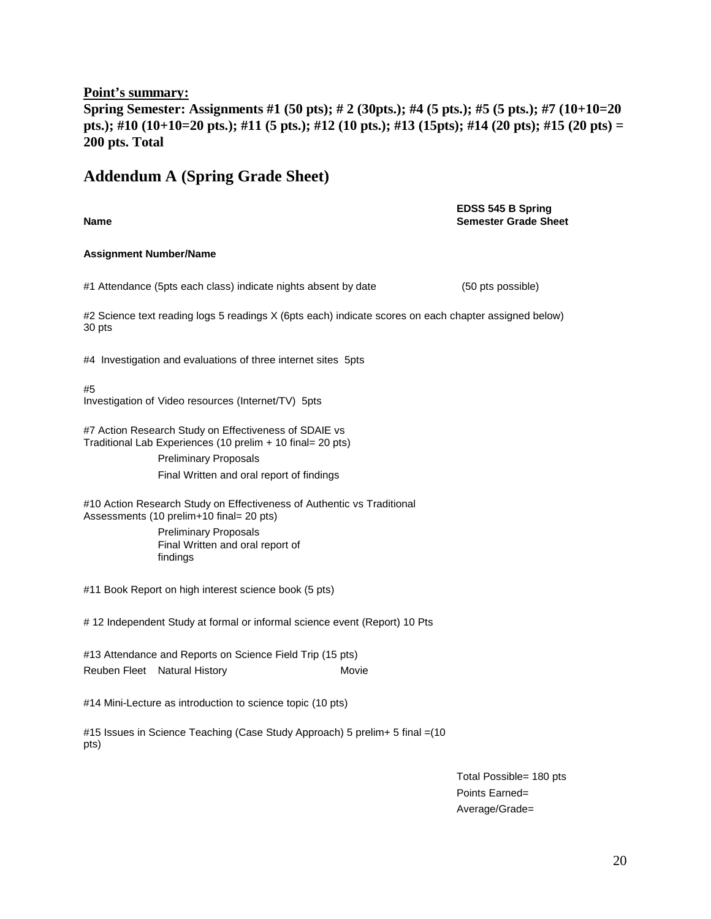#### **Point's summary:**

**Spring Semester: Assignments #1 (50 pts); # 2 (30pts.); #4 (5 pts.); #5 (5 pts.); #7 (10+10=20 pts.); #10 (10+10=20 pts.); #11 (5 pts.); #12 (10 pts.); #13 (15pts); #14 (20 pts); #15 (20 pts) = 200 pts. Total**

# **Addendum A (Spring Grade Sheet)**

**Name EDSS 545 B Spring Semester Grade Sheet Assignment Number/Name** #1 Attendance (5pts each class) indicate nights absent by date (50 pts possible) #2 Science text reading logs 5 readings X (6pts each) indicate scores on each chapter assigned below) 30 pts #4 Investigation and evaluations of three internet sites 5pts #5 Investigation of Video resources (Internet/TV) 5pts #7 Action Research Study on Effectiveness of SDAIE vs Traditional Lab Experiences (10 prelim + 10 final= 20 pts) Preliminary Proposals Final Written and oral report of findings #10 Action Research Study on Effectiveness of Authentic vs Traditional Assessments (10 prelim+10 final= 20 pts) Preliminary Proposals Final Written and oral report of findings #11 Book Report on high interest science book (5 pts) # 12 Independent Study at formal or informal science event (Report) 10 Pts #13 Attendance and Reports on Science Field Trip (15 pts) Reuben Fleet Natural History **Movie** Movie #14 Mini-Lecture as introduction to science topic (10 pts) #15 Issues in Science Teaching (Case Study Approach) 5 prelim+ 5 final =(10 pts)

> Total Possible= 180 pts Points Earned= Average/Grade=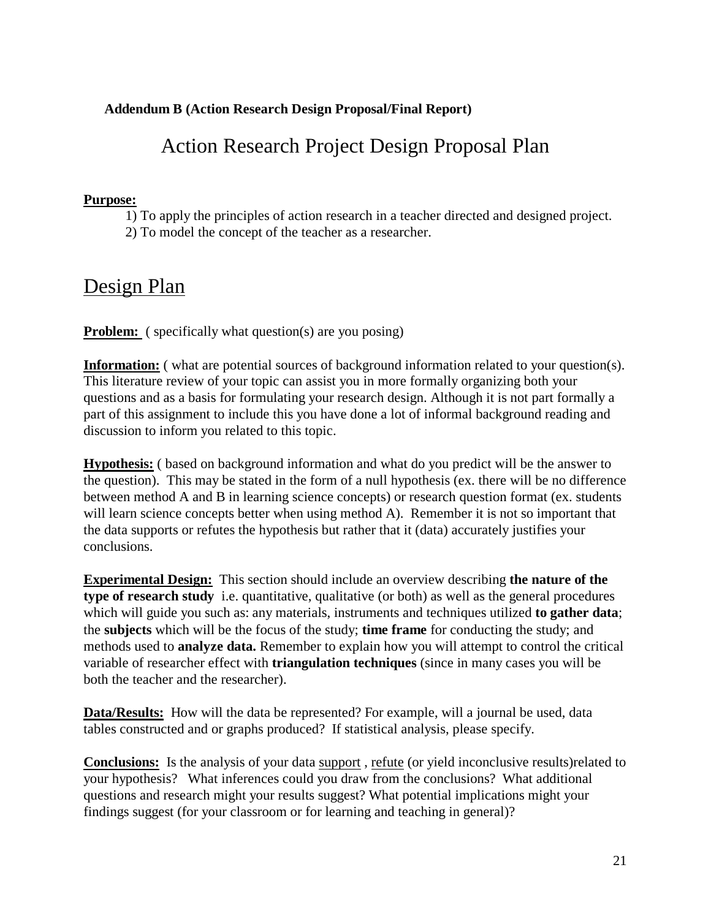# **Addendum B (Action Research Design Proposal/Final Report)**

# Action Research Project Design Proposal Plan

#### **Purpose:**

1) To apply the principles of action research in a teacher directed and designed project. 2) To model the concept of the teacher as a researcher.

# Design Plan

**Problem:** ( specifically what question(s) are you posing)

**Information:** ( what are potential sources of background information related to your question(s). This literature review of your topic can assist you in more formally organizing both your questions and as a basis for formulating your research design. Although it is not part formally a part of this assignment to include this you have done a lot of informal background reading and discussion to inform you related to this topic.

**Hypothesis:** ( based on background information and what do you predict will be the answer to the question). This may be stated in the form of a null hypothesis (ex. there will be no difference between method A and B in learning science concepts) or research question format (ex. students will learn science concepts better when using method A). Remember it is not so important that the data supports or refutes the hypothesis but rather that it (data) accurately justifies your conclusions.

**Experimental Design:** This section should include an overview describing **the nature of the type of research study** i.e. quantitative, qualitative (or both) as well as the general procedures which will guide you such as: any materials, instruments and techniques utilized **to gather data**; the **subjects** which will be the focus of the study; **time frame** for conducting the study; and methods used to **analyze data.** Remember to explain how you will attempt to control the critical variable of researcher effect with **triangulation techniques** (since in many cases you will be both the teacher and the researcher).

**Data/Results:** How will the data be represented? For example, will a journal be used, data tables constructed and or graphs produced? If statistical analysis, please specify.

**Conclusions:** Is the analysis of your data support , refute (or yield inconclusive results)related to your hypothesis? What inferences could you draw from the conclusions? What additional questions and research might your results suggest? What potential implications might your findings suggest (for your classroom or for learning and teaching in general)?